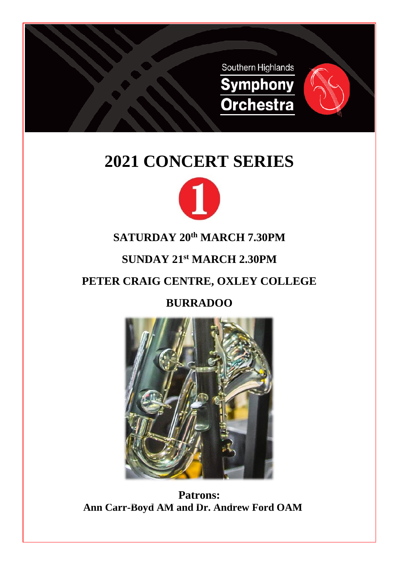

# **2021 CONCERT SERIES**



## **SATURDAY 20 th MARCH 7.30PM**

## **SUNDAY 21 st MARCH 2.30PM**

## **PETER CRAIG CENTRE, OXLEY COLLEGE**

## **BURRADOO**



**Patrons: Ann Carr-Boyd AM and Dr. Andrew Ford OAM**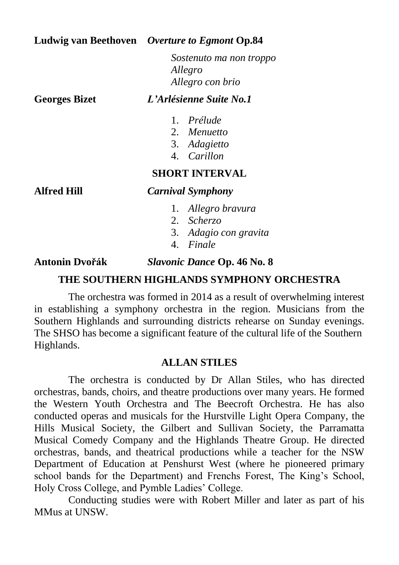#### **Ludwig van Beethoven** *Overture to Egmont* **Op.84**

*Sostenuto ma non troppo Allegro Allegro con brio*

#### **Georges Bizet** *L'Arlésienne Suite No.1*

- 1. *Prélude*
- 2. *Menuetto*
- 3. *Adagietto*
- 4. *Carillon*

#### **SHORT INTERVAL**

#### **Alfred Hill** *Carnival Symphony*

- 1. *Allegro bravura*
- 2. *Scherzo*
- 3. *Adagio con gravita*
- 4. *Finale*

#### **Antonin Dvořák** *Slavonic Dance* **Op. 46 No. 8**

#### **THE SOUTHERN HIGHLANDS SYMPHONY ORCHESTRA**

The orchestra was formed in 2014 as a result of overwhelming interest in establishing a symphony orchestra in the region. Musicians from the Southern Highlands and surrounding districts rehearse on Sunday evenings. The SHSO has become a significant feature of the cultural life of the Southern Highlands.

#### **ALLAN STILES**

The orchestra is conducted by Dr Allan Stiles, who has directed orchestras, bands, choirs, and theatre productions over many years. He formed the Western Youth Orchestra and The Beecroft Orchestra. He has also conducted operas and musicals for the Hurstville Light Opera Company, the Hills Musical Society, the Gilbert and Sullivan Society, the Parramatta Musical Comedy Company and the Highlands Theatre Group. He directed orchestras, bands, and theatrical productions while a teacher for the NSW Department of Education at Penshurst West (where he pioneered primary school bands for the Department) and Frenchs Forest, The King's School, Holy Cross College, and Pymble Ladies' College.

Conducting studies were with Robert Miller and later as part of his MMus at UNSW.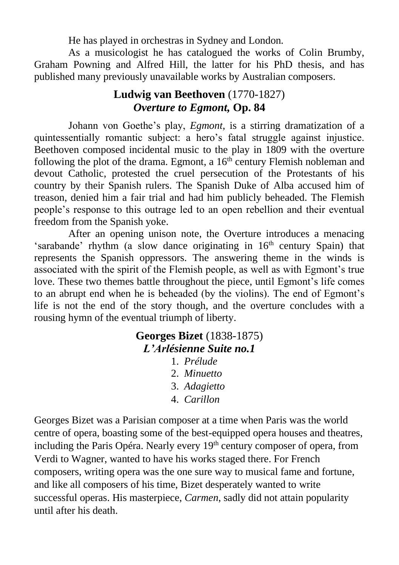He has played in orchestras in Sydney and London.

As a musicologist he has catalogued the works of Colin Brumby, Graham Powning and Alfred Hill, the latter for his PhD thesis, and has published many previously unavailable works by Australian composers.

### **Ludwig van Beethoven** (1770-1827) *Overture to Egmont,* **Op. 84**

Johann von Goethe's play, *Egmont*, is a stirring dramatization of a quintessentially romantic subject: a hero's fatal struggle against injustice. Beethoven composed incidental music to the play in 1809 with the overture following the plot of the drama. Egmont, a  $16<sup>th</sup>$  century Flemish nobleman and devout Catholic, protested the cruel persecution of the Protestants of his country by their Spanish rulers. The Spanish Duke of Alba accused him of treason, denied him a fair trial and had him publicly beheaded. The Flemish people's response to this outrage led to an open rebellion and their eventual freedom from the Spanish yoke.

After an opening unison note, the Overture introduces a menacing 'sarabande' rhythm (a slow dance originating in  $16<sup>th</sup>$  century Spain) that represents the Spanish oppressors. The answering theme in the winds is associated with the spirit of the Flemish people, as well as with Egmont's true love. These two themes battle throughout the piece, until Egmont's life comes to an abrupt end when he is beheaded (by the violins). The end of Egmont's life is not the end of the story though, and the overture concludes with a rousing hymn of the eventual triumph of liberty.

## **Georges Bizet** (1838-1875) *L'Arlésienne Suite no.1*

- 1. *Prélude*
- 2. *Minuetto*
- 3. *Adagietto*
- 4. *Carillon*

Georges Bizet was a Parisian composer at a time when Paris was the world centre of opera, boasting some of the best-equipped opera houses and theatres, including the Paris Opéra. Nearly every 19<sup>th</sup> century composer of opera, from Verdi to Wagner, wanted to have his works staged there. For French composers, writing opera was the one sure way to musical fame and fortune, and like all composers of his time, Bizet desperately wanted to write successful operas. His masterpiece, *Carmen*, sadly did not attain popularity until after his death.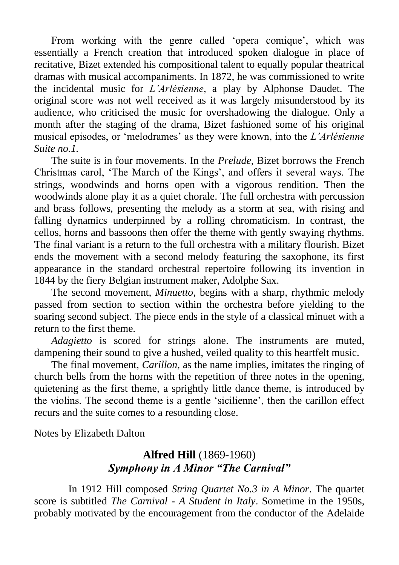From working with the genre called 'opera comique', which was essentially a French creation that introduced spoken dialogue in place of recitative, Bizet extended his compositional talent to equally popular theatrical dramas with musical accompaniments. In 1872, he was commissioned to write the incidental music for *L'Arlésienne*, a play by Alphonse Daudet. The original score was not well received as it was largely misunderstood by its audience, who criticised the music for overshadowing the dialogue. Only a month after the staging of the drama, Bizet fashioned some of his original musical episodes, or 'melodrames' as they were known, into the *L'Arlésienne Suite no.1.*

The suite is in four movements. In the *Prelude,* Bizet borrows the French Christmas carol, 'The March of the Kings', and offers it several ways. The strings, woodwinds and horns open with a vigorous rendition. Then the woodwinds alone play it as a quiet chorale. The full orchestra with percussion and brass follows, presenting the melody as a storm at sea, with rising and falling dynamics underpinned by a rolling chromaticism. In contrast, the cellos, horns and bassoons then offer the theme with gently swaying rhythms. The final variant is a return to the full orchestra with a military flourish. Bizet ends the movement with a second melody featuring the saxophone, its first appearance in the standard orchestral repertoire following its invention in 1844 by the fiery Belgian instrument maker, Adolphe Sax.

The second movement, *Minuetto*, begins with a sharp, rhythmic melody passed from section to section within the orchestra before yielding to the soaring second subject. The piece ends in the style of a classical minuet with a return to the first theme.

*Adagietto* is scored for strings alone. The instruments are muted, dampening their sound to give a hushed, veiled quality to this heartfelt music.

The final movement, *Carillon*, as the name implies, imitates the ringing of church bells from the horns with the repetition of three notes in the opening, quietening as the first theme, a sprightly little dance theme, is introduced by the violins. The second theme is a gentle 'sicilienne', then the carillon effect recurs and the suite comes to a resounding close.

Notes by Elizabeth Dalton

### **Alfred Hill** (1869-1960) *Symphony in A Minor "The Carnival"*

In 1912 Hill composed *String Quartet No.3 in A Minor*. The quartet score is subtitled *The Carnival - A Student in Italy*. Sometime in the 1950s, probably motivated by the encouragement from the conductor of the Adelaide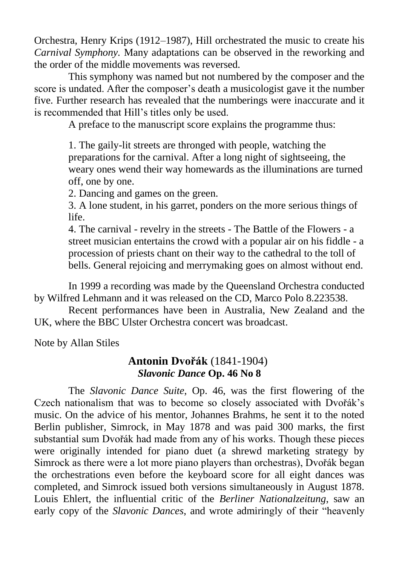Orchestra, Henry Krips (1912–1987), Hill orchestrated the music to create his *Carnival Symphony.* Many adaptations can be observed in the reworking and the order of the middle movements was reversed.

This symphony was named but not numbered by the composer and the score is undated. After the composer's death a musicologist gave it the number five. Further research has revealed that the numberings were inaccurate and it is recommended that Hill's titles only be used.

A preface to the manuscript score explains the programme thus:

1. The gaily-lit streets are thronged with people, watching the preparations for the carnival. After a long night of sightseeing, the weary ones wend their way homewards as the illuminations are turned off, one by one.

2. Dancing and games on the green.

3. A lone student, in his garret, ponders on the more serious things of life.

4. The carnival - revelry in the streets - The Battle of the Flowers - a street musician entertains the crowd with a popular air on his fiddle - a procession of priests chant on their way to the cathedral to the toll of bells. General rejoicing and merrymaking goes on almost without end.

In 1999 a recording was made by the Queensland Orchestra conducted by Wilfred Lehmann and it was released on the CD, Marco Polo 8.223538.

Recent performances have been in Australia, New Zealand and the UK, where the BBC Ulster Orchestra concert was broadcast.

Note by Allan Stiles

#### **Antonin Dvořák** (1841-1904) *Slavonic Dance* **Op. 46 No 8**

The *Slavonic Dance Suite*, Op. 46, was the first flowering of the Czech nationalism that was to become so closely associated with Dvořák's music. On the advice of his mentor, Johannes Brahms, he sent it to the noted Berlin publisher, Simrock, in May 1878 and was paid 300 marks, the first substantial sum Dvořák had made from any of his works. Though these pieces were originally intended for piano duet (a shrewd marketing strategy by Simrock as there were a lot more piano players than orchestras), Dvořák began the orchestrations even before the keyboard score for all eight dances was completed, and Simrock issued both versions simultaneously in August 1878. Louis Ehlert, the influential critic of the *Berliner Nationalzeitung*, saw an early copy of the *Slavonic Dances*, and wrote admiringly of their "heavenly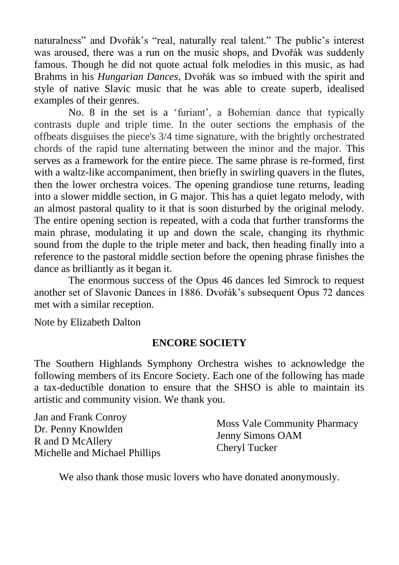naturalness" and Dvořák's "real, naturally real talent." The public's interest was aroused, there was a run on the music shops, and Dvořák was suddenly famous. Though he did not quote actual folk melodies in this music, as had Brahms in his *Hungarian Dances*, Dvořák was so imbued with the spirit and style of native Slavic music that he was able to create superb, idealised examples of their genres.

No. 8 in the set is a 'furiant', a Bohemian dance that typically contrasts duple and triple time. In the outer sections the emphasis of the offbeats disguises the piece's 3/4 time signature, with the brightly orchestrated chords of the rapid tune alternating between the minor and the major. This serves as a framework for the entire piece. The same phrase is re-formed, first with a waltz-like accompaniment, then briefly in swirling quavers in the flutes, then the lower orchestra voices. The opening grandiose tune returns, leading into a slower middle section, in G major. This has a quiet legato melody, with an almost pastoral quality to it that is soon disturbed by the original melody. The entire opening section is repeated, with a coda that further transforms the main phrase, modulating it up and down the scale, changing its rhythmic sound from the duple to the triple meter and back, then heading finally into a reference to the pastoral middle section before the opening phrase finishes the dance as brilliantly as it began it.

The enormous success of the Opus 46 dances led Simrock to request another set of Slavonic Dances in 1886. Dvořák's subsequent Opus 72 dances met with a similar reception.

Note by Elizabeth Dalton

#### **ENCORE SOCIETY**

The Southern Highlands Symphony Orchestra wishes to acknowledge the following members of its Encore Society. Each one of the following has made a tax-deductible donation to ensure that the SHSO is able to maintain its artistic and community vision. We thank you.

We also thank those music lovers who have donated anonymously.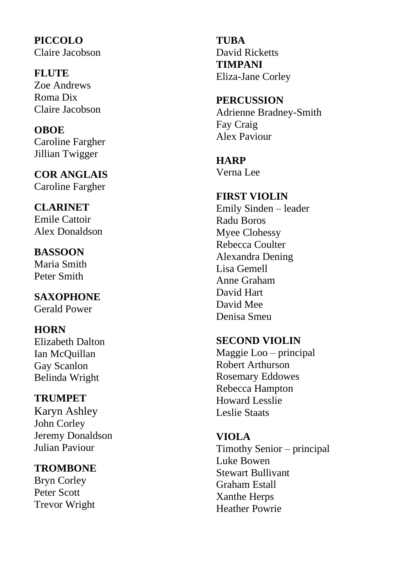**PICCOLO** Claire Jacobson

**FLUTE**  Zoe Andrews Roma Dix Claire Jacobson

#### **OBOE**  Caroline Fargher Jillian Twigger

**COR ANGLAIS**  Caroline Fargher

**CLARINET**  Emile Cattoir Alex Donaldson

**BASSOON**  Maria Smith Peter Smith

**SAXOPHONE** Gerald Power

**HORN**  Elizabeth Dalton Ian McQuillan Gay Scanlon Belinda Wright

#### **TRUMPET**  Karyn Ashley John Corley Jeremy Donaldson Julian Paviour

**TROMBONE** 

Bryn Corley Peter Scott Trevor Wright **TUBA**  David Ricketts **TIMPANI**  Eliza -Jane Corley

**PERCUSSION**  Adrienne Bradney -Smith Fay Craig Alex Paviour

**HARP** Verna Lee

**FIRST VIOLIN**  Emily Sinden – leader Radu Boros Myee Clohessy Rebecca Coulter Alexandra Dening Lisa Gemell Anne Graham David Hart David Mee Denisa Smeu

#### **SECOND VIOLIN**

Maggie Loo – principal Robert Arthurson Rosemary Eddowes Rebecca Hampton Howard Lesslie Leslie Staats

**VIOLA** 

Timothy Senior – principal Luke Bowen Stewart Bullivant Graham Estall Xanthe Herps Heather Powrie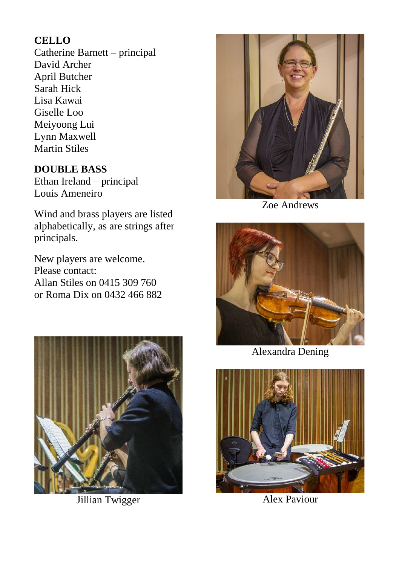#### **CELLO**

Catherine Barnett – principal David Archer April Butcher Sarah Hick Lisa Kawai Giselle Loo Meiyoong Lui Lynn Maxwell Martin Stiles

#### **DOUBLE BASS**

Ethan Ireland – principal Louis Ameneiro

Wind and brass players are listed alphabetically, as are strings after principals.

New players are welcome. Please contact: Allan Stiles on 0415 309 760 or Roma Dix on 0432 466 882



Jillian Twigger



Zoe Andrews



Alexandra Dening



Alex Paviour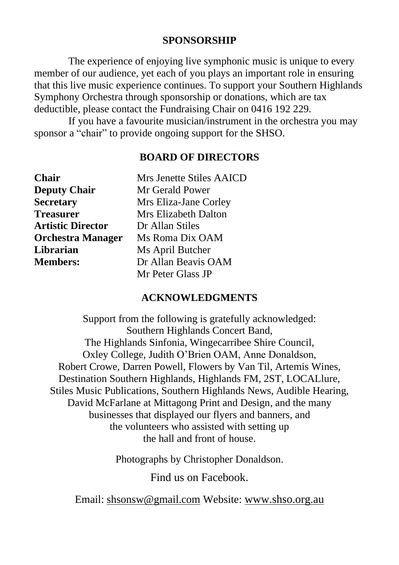#### **SPONSORSHIP**

The experience of enjoying live symphonic music is unique to every member of our audience, yet each of you plays an important role in ensuring that this live music experience continues. To support your Southern Highlands Symphony Orchestra through sponsorship or donations, which are tax deductible, please contact the Fundraising Chair on 0416 192 229.

If you have a favourite musician/instrument in the orchestra you may sponsor a "chair" to provide ongoing support for the SHSO.

#### **BOARD OF DIRECTORS**

| <b>Chair</b>             | Mrs Jenette Stiles AAICD |
|--------------------------|--------------------------|
| <b>Deputy Chair</b>      | Mr Gerald Power          |
| <b>Secretary</b>         | Mrs Eliza-Jane Corley    |
| <b>Treasurer</b>         | Mrs Elizabeth Dalton     |
| <b>Artistic Director</b> | Dr Allan Stiles          |
| <b>Orchestra Manager</b> | Ms Roma Dix OAM          |
| Librarian                | Ms April Butcher         |
| <b>Members:</b>          | Dr Allan Beavis OAM      |
|                          | Mr Peter Glass JP        |

#### **ACKNOWLEDGMENTS**

Support from the following is gratefully acknowledged: Southern Highlands Concert Band, The Highlands Sinfonia, Wingecarribee Shire Council, Oxley College, Judith O'Brien OAM, Anne Donaldson, Robert Crowe, Darren Powell, Flowers by Van Til, Artemis Wines, Destination Southern Highlands, Highlands FM, 2ST, LOCALlure, Stiles Music Publications, Southern Highlands News, Audible Hearing, David McFarlane at Mittagong Print and Design, and the many businesses that displayed our flyers and banners, and the volunteers who assisted with setting up the hall and front of house.

Photographs by Christopher Donaldson.

Find us on Facebook.

Email: [shsonsw@gmail.com](mailto:shsonsw@gmail.com) Website: [www.shso.org.au](http://www.shso.org.au/)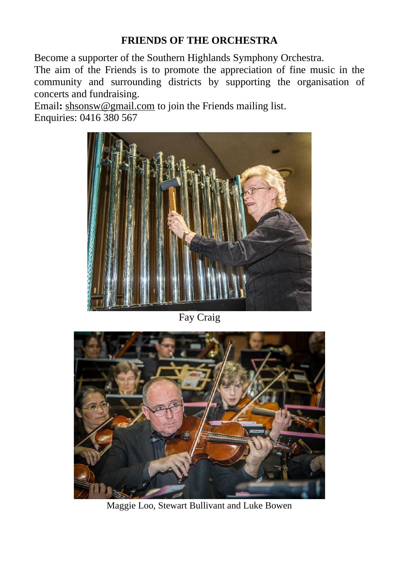#### **FRIENDS OF THE ORCHESTRA**

Become a supporter of the Southern Highlands Symphony Orchestra.

The aim of the Friends is to promote the appreciation of fine music in the community and surrounding districts by supporting the organisation of concerts and fundraising.

Email**:** [shsonsw@gmail.com](mailto:shsonsw@gmail.com) to join the Friends mailing list. Enquiries: 0416 380 567



Fay Craig



Maggie Loo, Stewart Bullivant and Luke Bowen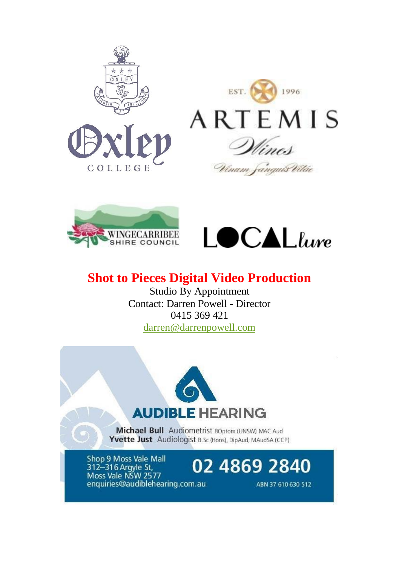





## **Shot to Pieces Digital Video Production**

Studio By Appointment Contact: Darren Powell - Director 0415 369 421 [darren@darrenpowell.com](mailto:darren@darrenpowell.com)



Michael Bull Audiometrist BOptom (UNSW) MAC Aud Yvette Just Audiologist B.Sc (Hons), DipAud, MAudSA (CCP)

Shop 9 Moss Vale Mall 312-316 Argyle St, Moss Vale NSW 2577 enquiries@audiblehearing.com.au

02 4869 2840

ABN 37 610 630 512